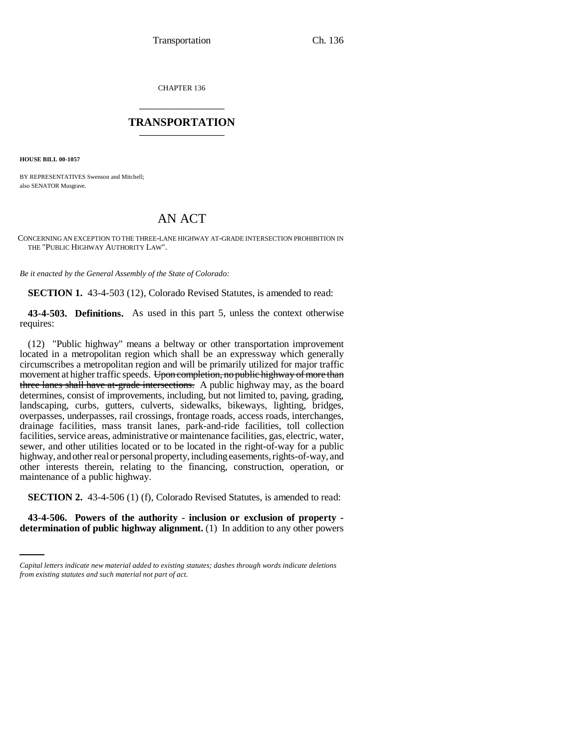CHAPTER 136 \_\_\_\_\_\_\_\_\_\_\_\_\_\_\_

## **TRANSPORTATION** \_\_\_\_\_\_\_\_\_\_\_\_\_\_\_

**HOUSE BILL 00-1057** 

BY REPRESENTATIVES Swenson and Mitchell; also SENATOR Musgrave.

## AN ACT

CONCERNING AN EXCEPTION TO THE THREE-LANE HIGHWAY AT-GRADE INTERSECTION PROHIBITION IN THE "PUBLIC HIGHWAY AUTHORITY LAW".

*Be it enacted by the General Assembly of the State of Colorado:*

**SECTION 1.** 43-4-503 (12), Colorado Revised Statutes, is amended to read:

**43-4-503. Definitions.** As used in this part 5, unless the context otherwise requires:

(12) "Public highway" means a beltway or other transportation improvement located in a metropolitan region which shall be an expressway which generally circumscribes a metropolitan region and will be primarily utilized for major traffic movement at higher traffic speeds. Upon completion, no public highway of more than three lanes shall have at-grade intersections. A public highway may, as the board determines, consist of improvements, including, but not limited to, paving, grading, landscaping, curbs, gutters, culverts, sidewalks, bikeways, lighting, bridges, overpasses, underpasses, rail crossings, frontage roads, access roads, interchanges, drainage facilities, mass transit lanes, park-and-ride facilities, toll collection facilities, service areas, administrative or maintenance facilities, gas, electric, water, sewer, and other utilities located or to be located in the right-of-way for a public highway, and other real or personal property, including easements, rights-of-way, and other interests therein, relating to the financing, construction, operation, or maintenance of a public highway.

**SECTION 2.** 43-4-506 (1) (f), Colorado Revised Statutes, is amended to read:

**43-4-506. Powers of the authority - inclusion or exclusion of property determination of public highway alignment.** (1) In addition to any other powers

*Capital letters indicate new material added to existing statutes; dashes through words indicate deletions from existing statutes and such material not part of act.*